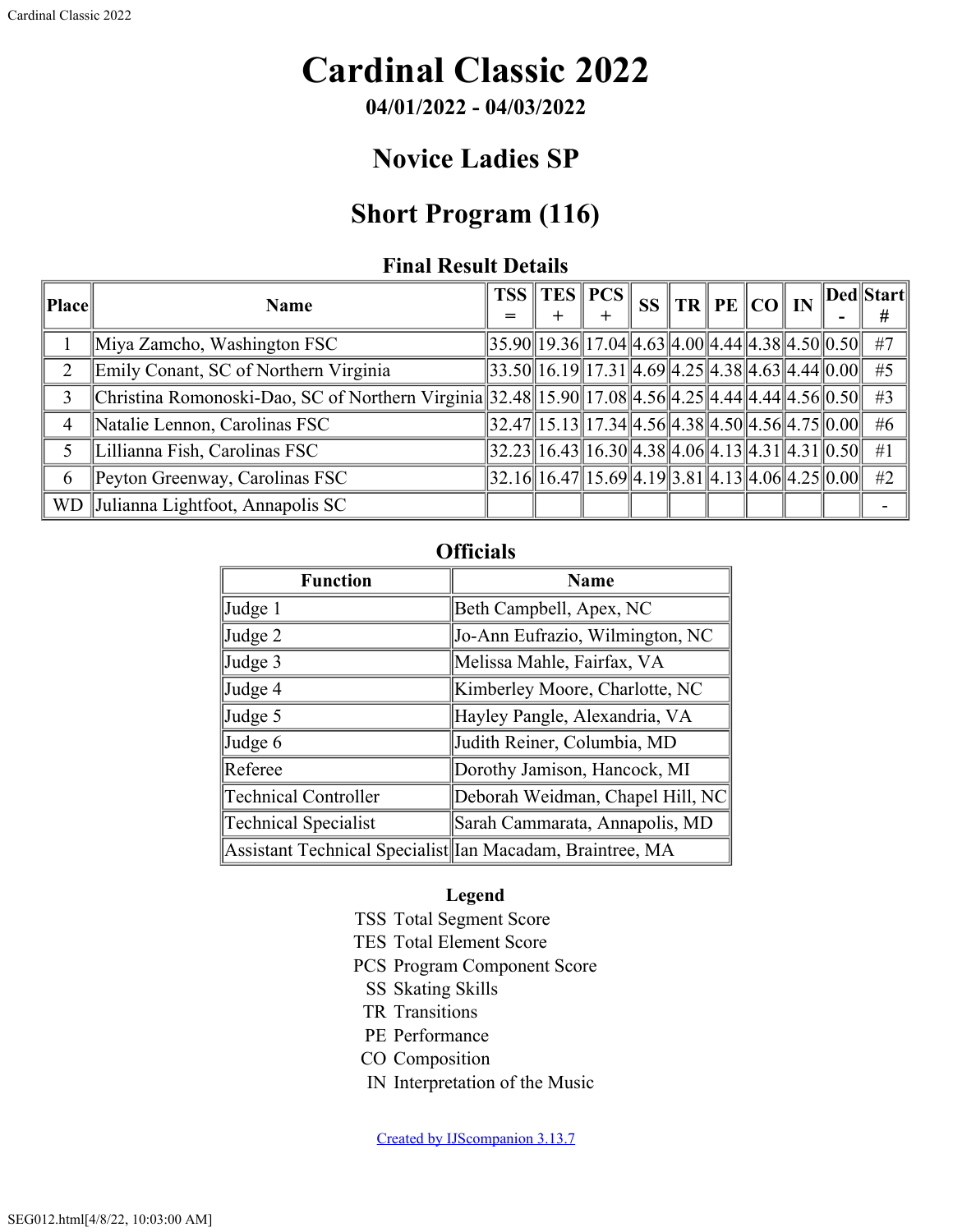# **Cardinal Classic 2022**

**04/01/2022 - 04/03/2022**

## **Novice Ladies SP**

## **Short Program (116)**

#### **Final Result Details**

| Place          | <b>Name</b>                                                                                         | = | $TSS \, \, TES \, \, PCS \, \,$                                                                            |  |  |  | $^{\shortparallel}$ SS $\Vert$ TR $\Vert$ PE $\Vert$ CO $\Vert$ IN $\Vert$ Ded $\Vert$ Start $\Vert$<br># |
|----------------|-----------------------------------------------------------------------------------------------------|---|------------------------------------------------------------------------------------------------------------|--|--|--|-----------------------------------------------------------------------------------------------------------|
|                | Miya Zamcho, Washington FSC                                                                         |   | $\ 35.90\ 19.36\ 17.04\ 4.63\ 4.00\ 4.44\ 4.38\ 4.50\ 0.50\ $ #7                                           |  |  |  |                                                                                                           |
| 2              | Emily Conant, SC of Northern Virginia                                                               |   | $\ 33.50\ 16.19\ 17.31\ 4.69\ 4.25\ 4.38\ 4.63\ 4.44\ 0.00\ $ #5                                           |  |  |  |                                                                                                           |
| 3              | Christina Romonoski-Dao, SC of Northern Virginia 32.48 15.90 17.08 4.56 4.25 4.44 4.44 4.56 0.50 #3 |   |                                                                                                            |  |  |  |                                                                                                           |
| $\overline{4}$ | Natalie Lennon, Carolinas FSC                                                                       |   | $\ 32.47\ 15.13\ 17.34\ 4.56\ 4.38\ 4.50\ 4.56\ 4.75\ 0.00\ $                                              |  |  |  | #6                                                                                                        |
|                | Lillianna Fish, Carolinas FSC                                                                       |   | $\left 32.23\right 16.43\left 16.30\right 4.38\left 4.06\right 4.13\left 4.31\right 4.31\left 0.50\right $ |  |  |  | #1                                                                                                        |
| 6              | Peyton Greenway, Carolinas FSC                                                                      |   | $\ 32.16\ 16.47\ 15.69\ 4.19\ 3.81\ 4.13\ 4.06\ 4.25\ 0.00\ $ #2                                           |  |  |  |                                                                                                           |
|                | WD Julianna Lightfoot, Annapolis SC                                                                 |   |                                                                                                            |  |  |  |                                                                                                           |

### **Officials**

| <b>Function</b>                                           | <b>Name</b>                      |
|-----------------------------------------------------------|----------------------------------|
| Judge 1                                                   | Beth Campbell, Apex, NC          |
| Judge 2                                                   | Jo-Ann Eufrazio, Wilmington, NC  |
| Judge 3                                                   | Melissa Mahle, Fairfax, VA       |
| Judge 4                                                   | Kimberley Moore, Charlotte, NC   |
| Judge 5                                                   | Hayley Pangle, Alexandria, VA    |
| Judge 6                                                   | Judith Reiner, Columbia, MD      |
| Referee                                                   | Dorothy Jamison, Hancock, MI     |
| <b>Technical Controller</b>                               | Deborah Weidman, Chapel Hill, NC |
| <b>Technical Specialist</b>                               | Sarah Cammarata, Annapolis, MD   |
| Assistant Technical Specialist Ian Macadam, Braintree, MA |                                  |

#### **Legend**

- TSS Total Segment Score
- TES Total Element Score
- PCS Program Component Score
	- SS Skating Skills
- TR Transitions
- PE Performance
- CO Composition
- IN Interpretation of the Music

[Created by IJScompanion 3.13.7](http://www.usfigureskating.org/)